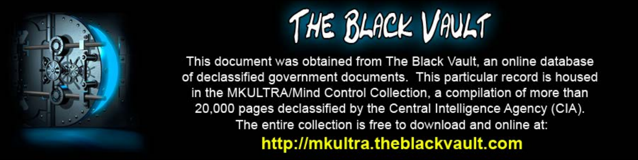

This document was obtained from The Black Vault, an online database of declassified government documents. This particular record is housed in the MKULTRA/Mind Control Collection, a compilation of more than 20,000 pages declassified by the Central Intelligence Agency (CIA). The entire collection is free to download and online at: http://mkultra.theblackvault.com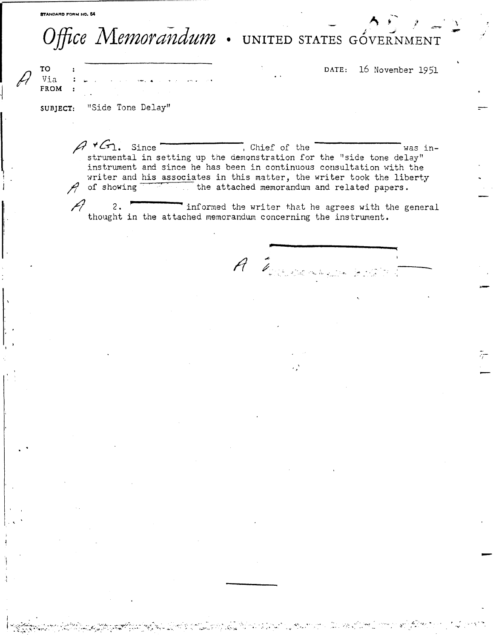## Office Memorandum . UNITED STATES GÓVERNMENT

ala wasan mu

 $\mathcal{L}^{\mathcal{L}}(\mathcal{L}^{\mathcal{L}})$  and  $\mathcal{L}^{\mathcal{L}}(\mathcal{L}^{\mathcal{L}})$ 

DATE: 16 November 1951

**TO** Via **FROM** 

"Side Tone Delay" SUBJECT:

> $A \cdot G_1$ . Since Chief of the was instrumental in setting up the demonstration for the "side tone delay" instrument and since he has been in continuous consultation with the writer and his associates in this matter, the writer took the liberty  $\mathcal{A}$  of showing the attached memorandum and related papers.

informed the writer that he agrees with the general  $2.$ thought in the attached memorandum concerning the instrument.

A Tourism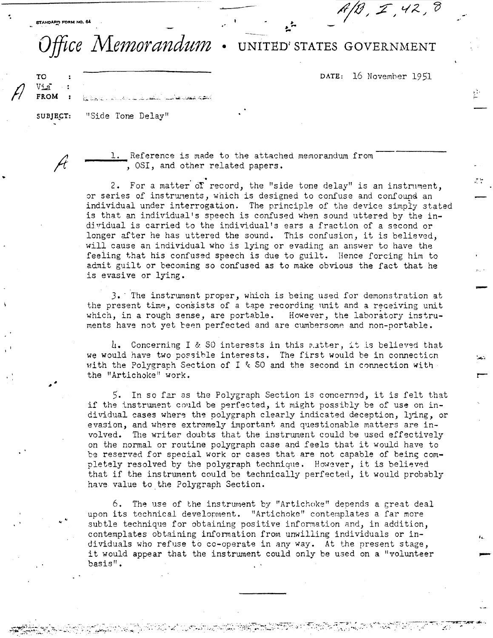بو به المسلم المسلم المسلم المسلم المسلم المسلم المسلم المسلم المسلم المسلم المسلم المسلم المسلم المسلم المسلم<br>المسلم المسلم المسلم المسلم المسلم المسلم المسلم المسلم المسلم المسلم المسلم المسلم المسلم المسلم المسلم المسل

Ĥ

...

•.

*!l* 

## *Office Memorandum* • UNITED' STATES GOVERNMENT

....

DATE: 16 November 1951

.. ...

-

**TO**  Via-**FROM** 

SUBJECT: "Side Tone Delay"

\_\_ l. Reference is made to the attached memorandum from ....;;. \_\_ *,* OSI, and other related papers.

 $\cdot$  related papers.<br> $\cdot$ 2. For a matter of record, the "side tone delay" is an instrument, or series of instruments, which is designed to confuse and confound an individual under interrogation. The principle of the device simpiy stated is that an individual's speech is confused when sound uttered by the individual is carried to the individual's ears a fraction of a second or longer after he has uttered the sound. This confusion, it is believed, will cause an individual who is lying or evading an answer to have the feeling that his confused speech is due to guilt. Hence forcing him to admit guilt or becoming so confused as to make obvious the fact that he is evasive or lying.

J, · The instrument proper, wluch is being used for demonstration at the present time, consists of a tape recording unit and a receiving unit which, in a rough sense, are portable. However, the laboratory instruments have not yet been perfected and are cumbersome and non-portable.

4. Concerning I & SO interests in this matter, it is believed that we would have two possible interests. The first would be in connection with the Polygraph Section of I & SO and the second in connection with the "Artichoke" work. **r-**

5. In so far as the Polygraph Section is concermd, it is felt that if the instrument could be perfected, it might possibly be of use on individual cases where the polygraph clearly indicated deception, lying, or evasion, and where extremely important and questionable matters are involved. The writer doubts that the instrument could be used effectively on the normal or routine polygraph case and feels that it would have to be reservad for special work or cases that are not capable of being completely resolved by the polygraph technique. However, it is believed that if the instrument could be technically perfected, it would probably have value to the Polygraph Section.

 $6.$  The use of the instrument by "Artichoke" depends a great deal upon its technical development. ''Artichoke" contemplates a far more subtle technique for obtaining positive information and, in addition, contemplates obtaining information from unwilling individuals or individuals who refuse to co-operate in any way. At the present stage, it would appear that the instrument could only be used on a "volunteer basis". -·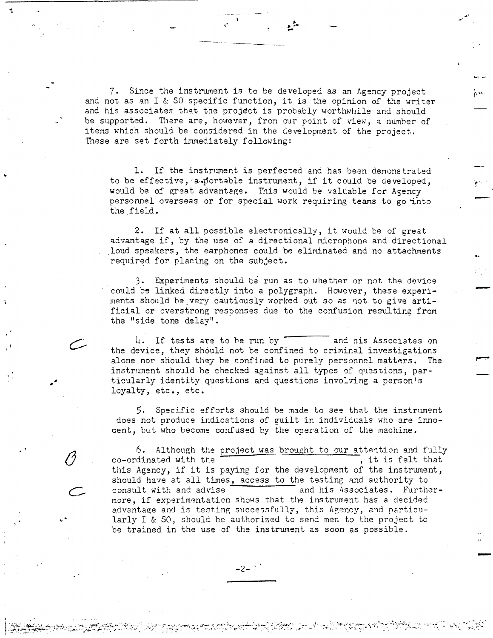7. Since the instrument is to be developed as an Agency project and not as an I & SO specific function, it is the opinion of the writer and his associates that the project is probably worthwhile and should be supported. There are, however, from our point of view, a number of items which should be considered in the development of the project. These are set forth immediately following:

,. ,. • ... ...

l. If the instrument is perfected and has been demonstrated to be effective, a portable instrument, if it could be developed, would be of great advantage. This would be valuable for Agency personnel overseas or for special work requiring teams to go into the field.

2. If at all possible electronically, it would be of great advantage if, by the use of a directional microphone and directional loud speakers, the earphones could be eliminated and no attachments required for placing on the subject.

k•

-<br>-<br>-

-

3. Experiments should be run as to whether or not the device could be linked directly into a polygraph. However, these experiments should be very cautiously worked out so as not to give artificial or overstrong responses due to the confusion resulting from the "side tone delay".

4. If tests are to be run by and his Associates on the device, they should not be confined to criminal investigations alone nor should they be confined to purely personnel matters. The instrument should be checked against all types of questions, particularly identity questions and questions involving a person's loyalty, etc., etc.

 $5.$  Specific efforts should be made to see that the instrument does not produce indications of guilt in individuals who are innocent, but who become confused by the operation of the machine.

6. Although the project was brought to our attention and fully co-ordinated with the  $\frac{100 \text{ sec}}{1000 \text{ sec}}$  was brought to be  $\frac{1000 \text{ cm}}{1000 \text{ cm}}$ , it is felt that co-ordinated with the  $\overline{\hspace{1cm}}$ , it is felt that this Agency, if it is paying for the development of the instrument, should have at all times, access to the testing and authority to consult with and advise and his Associates. Furtherconsult with and advise<br>
more, if experimentation shows that the instrument has a decided advantage and is testing successfully, this Agency, and particularly I & SO, should be authorized to send men to the project to be trained in the use of the instrwnent as soon as possible.

 $-2-$ 

*0* 

... "'